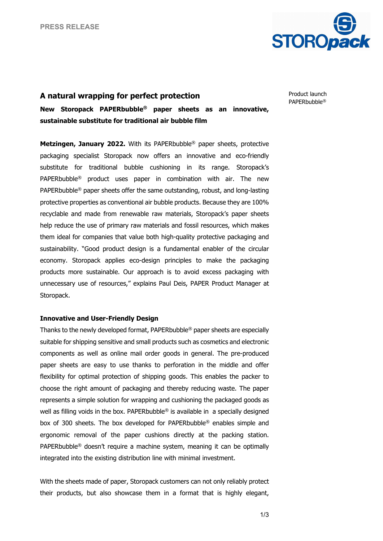

## **A natural wrapping for perfect protection**

Product launch PAPERbubble®

**New Storopack PAPERbubble® paper sheets as an innovative, sustainable substitute for traditional air bubble film**

**Metzingen, January 2022.** With its PAPERbubble® paper sheets, protective packaging specialist Storopack now offers an innovative and eco-friendly substitute for traditional bubble cushioning in its range. Storopack's PAPERbubble® product uses paper in combination with air. The new PAPERbubble® paper sheets offer the same outstanding, robust, and long-lasting protective properties as conventional air bubble products. Because they are 100% recyclable and made from renewable raw materials, Storopack's paper sheets help reduce the use of primary raw materials and fossil resources, which makes them ideal for companies that value both high-quality protective packaging and sustainability. "Good product design is a fundamental enabler of the circular economy. Storopack applies eco-design principles to make the packaging products more sustainable. Our approach is to avoid excess packaging with unnecessary use of resources," explains Paul Deis, PAPER Product Manager at Storopack.

## **Innovative and User-Friendly Design**

Thanks to the newly developed format, PAPERbubble® paper sheets are especially suitable for shipping sensitive and small products such as cosmetics and electronic components as well as online mail order goods in general. The pre-produced paper sheets are easy to use thanks to perforation in the middle and offer flexibility for optimal protection of shipping goods. This enables the packer to choose the right amount of packaging and thereby reducing waste. The paper represents a simple solution for wrapping and cushioning the packaged goods as well as filling voids in the box. PAPERbubble<sup>®</sup> is available in a specially designed box of 300 sheets. The box developed for PAPERbubble® enables simple and ergonomic removal of the paper cushions directly at the packing station. PAPERbubble® doesn't require a machine system, meaning it can be optimally integrated into the existing distribution line with minimal investment.

With the sheets made of paper, Storopack customers can not only reliably protect their products, but also showcase them in a format that is highly elegant,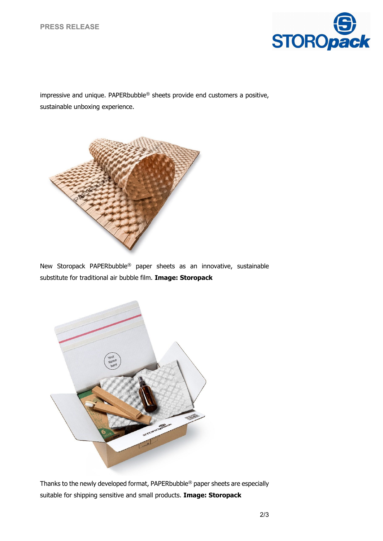

impressive and unique. PAPERbubble® sheets provide end customers a positive, sustainable unboxing experience.



New Storopack PAPERbubble® paper sheets as an innovative, sustainable substitute for traditional air bubble film. **Image: Storopack**



Thanks to the newly developed format, PAPERbubble® paper sheets are especially suitable for shipping sensitive and small products. **Image: Storopack**